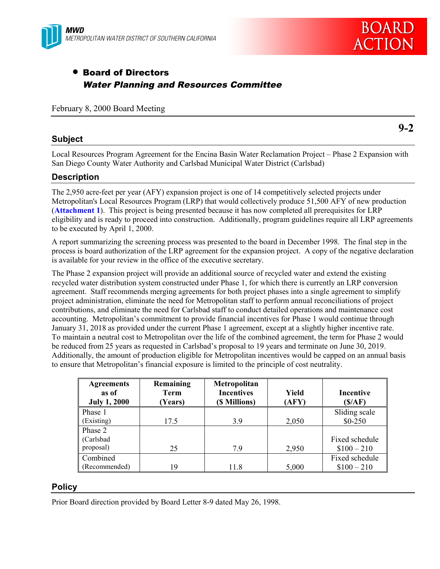



**9-2**

# • Board of Directors Water Planning and Resources Committee

February 8, 2000 Board Meeting

#### **Subject**

Local Resources Program Agreement for the Encina Basin Water Reclamation Project – Phase 2 Expansion with San Diego County Water Authority and Carlsbad Municipal Water District (Carlsbad)

#### **Description**

The 2,950 acre-feet per year (AFY) expansion project is one of 14 competitively selected projects under Metropolitan's Local Resources Program (LRP) that would collectively produce 51,500 AFY of new production (**Attachment 1**). This project is being presented because it has now completed all prerequisites for LRP eligibility and is ready to proceed into construction. Additionally, program guidelines require all LRP agreements to be executed by April 1, 2000.

A report summarizing the screening process was presented to the board in December 1998. The final step in the process is board authorization of the LRP agreement for the expansion project. A copy of the negative declaration is available for your review in the office of the executive secretary.

The Phase 2 expansion project will provide an additional source of recycled water and extend the existing recycled water distribution system constructed under Phase 1, for which there is currently an LRP conversion agreement. Staff recommends merging agreements for both project phases into a single agreement to simplify project administration, eliminate the need for Metropolitan staff to perform annual reconciliations of project contributions, and eliminate the need for Carlsbad staff to conduct detailed operations and maintenance cost accounting. Metropolitan's commitment to provide financial incentives for Phase 1 would continue through January 31, 2018 as provided under the current Phase 1 agreement, except at a slightly higher incentive rate. To maintain a neutral cost to Metropolitan over the life of the combined agreement, the term for Phase 2 would be reduced from 25 years as requested in Carlsbad's proposal to 19 years and terminate on June 30, 2019. Additionally, the amount of production eligible for Metropolitan incentives would be capped on an annual basis to ensure that Metropolitan's financial exposure is limited to the principle of cost neutrality.

| <b>Agreements</b><br>as of<br><b>July 1, 2000</b> | Remaining<br><b>Term</b><br>(Years) | Metropolitan<br><b>Incentives</b><br>(\$ Millions) | Yield<br>(AFY) | Incentive<br>(S/AF) |
|---------------------------------------------------|-------------------------------------|----------------------------------------------------|----------------|---------------------|
| Phase 1                                           |                                     |                                                    |                | Sliding scale       |
| (Existing)                                        | 17.5                                | 3.9                                                | 2,050          | $$0-250$            |
| Phase 2                                           |                                     |                                                    |                |                     |
| (Carlsbad                                         |                                     |                                                    |                | Fixed schedule      |
| proposal)                                         | 25                                  | 79                                                 | 2,950          | $$100 - 210$        |
| Combined                                          |                                     |                                                    |                | Fixed schedule      |
| (Recommended)                                     | 19                                  | 11.8                                               | 5,000          | $$100 - 210$        |

#### **Policy**

Prior Board direction provided by Board Letter 8-9 dated May 26, 1998.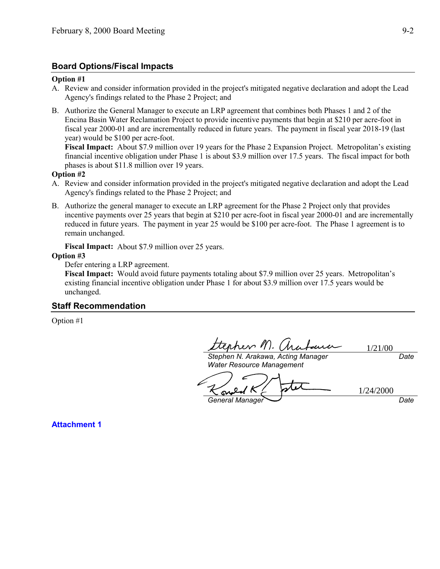### **Board Options/Fiscal Impacts**

#### **Option #1**

- A. Review and consider information provided in the project's mitigated negative declaration and adopt the Lead Agency's findings related to the Phase 2 Project; and
- B. Authorize the General Manager to execute an LRP agreement that combines both Phases 1 and 2 of the Encina Basin Water Reclamation Project to provide incentive payments that begin at \$210 per acre-foot in fiscal year 2000-01 and are incrementally reduced in future years. The payment in fiscal year 2018-19 (last year) would be \$100 per acre-foot.

**Fiscal Impact:** About \$7.9 million over 19 years for the Phase 2 Expansion Project. Metropolitan's existing financial incentive obligation under Phase 1 is about \$3.9 million over 17.5 years. The fiscal impact for both phases is about \$11.8 million over 19 years.

#### **Option #2**

- A. Review and consider information provided in the project's mitigated negative declaration and adopt the Lead Agency's findings related to the Phase 2 Project; and
- B. Authorize the general manager to execute an LRP agreement for the Phase 2 Project only that provides incentive payments over 25 years that begin at \$210 per acre-foot in fiscal year 2000-01 and are incrementally reduced in future years. The payment in year 25 would be \$100 per acre-foot. The Phase 1 agreement is to remain unchanged.

**Fiscal Impact:** About \$7.9 million over 25 years.

#### **Option #3**

Defer entering a LRP agreement.

**Fiscal Impact:** Would avoid future payments totaling about \$7.9 million over 25 years. Metropolitan's existing financial incentive obligation under Phase 1 for about \$3.9 million over 17.5 years would be unchanged.

#### **Staff Recommendation**

Option #1

pher 11 1/21/00

*Stephen N. Arakawa, Acting Manager Water Resource Management*

1/24/2000S *General Manager Date*

*Date*

**Attachment 1**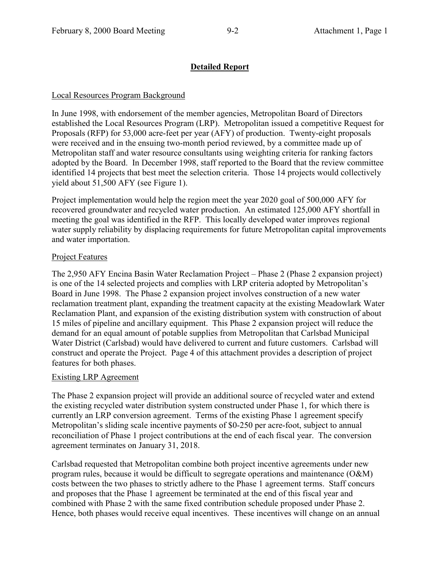### **Detailed Report**

### Local Resources Program Background

In June 1998, with endorsement of the member agencies, Metropolitan Board of Directors established the Local Resources Program (LRP). Metropolitan issued a competitive Request for Proposals (RFP) for 53,000 acre-feet per year (AFY) of production. Twenty-eight proposals were received and in the ensuing two-month period reviewed, by a committee made up of Metropolitan staff and water resource consultants using weighting criteria for ranking factors adopted by the Board. In December 1998, staff reported to the Board that the review committee identified 14 projects that best meet the selection criteria. Those 14 projects would collectively yield about 51,500 AFY (see Figure 1).

Project implementation would help the region meet the year 2020 goal of 500,000 AFY for recovered groundwater and recycled water production. An estimated 125,000 AFY shortfall in meeting the goal was identified in the RFP. This locally developed water improves regional water supply reliability by displacing requirements for future Metropolitan capital improvements and water importation.

### Project Features

The 2,950 AFY Encina Basin Water Reclamation Project – Phase 2 (Phase 2 expansion project) is one of the 14 selected projects and complies with LRP criteria adopted by Metropolitan's Board in June 1998. The Phase 2 expansion project involves construction of a new water reclamation treatment plant, expanding the treatment capacity at the existing Meadowlark Water Reclamation Plant, and expansion of the existing distribution system with construction of about 15 miles of pipeline and ancillary equipment. This Phase 2 expansion project will reduce the demand for an equal amount of potable supplies from Metropolitan that Carlsbad Municipal Water District (Carlsbad) would have delivered to current and future customers. Carlsbad will construct and operate the Project. Page 4 of this attachment provides a description of project features for both phases.

### Existing LRP Agreement

The Phase 2 expansion project will provide an additional source of recycled water and extend the existing recycled water distribution system constructed under Phase 1, for which there is currently an LRP conversion agreement. Terms of the existing Phase 1 agreement specify Metropolitan's sliding scale incentive payments of \$0-250 per acre-foot, subject to annual reconciliation of Phase 1 project contributions at the end of each fiscal year. The conversion agreement terminates on January 31, 2018.

Carlsbad requested that Metropolitan combine both project incentive agreements under new program rules, because it would be difficult to segregate operations and maintenance (O&M) costs between the two phases to strictly adhere to the Phase 1 agreement terms. Staff concurs and proposes that the Phase 1 agreement be terminated at the end of this fiscal year and combined with Phase 2 with the same fixed contribution schedule proposed under Phase 2. Hence, both phases would receive equal incentives. These incentives will change on an annual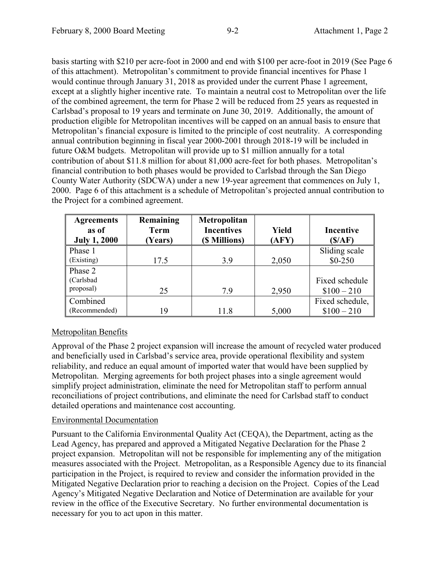basis starting with \$210 per acre-foot in 2000 and end with \$100 per acre-foot in 2019 (See Page 6 of this attachment). Metropolitan's commitment to provide financial incentives for Phase 1 would continue through January 31, 2018 as provided under the current Phase 1 agreement, except at a slightly higher incentive rate. To maintain a neutral cost to Metropolitan over the life of the combined agreement, the term for Phase 2 will be reduced from 25 years as requested in Carlsbad's proposal to 19 years and terminate on June 30, 2019. Additionally, the amount of production eligible for Metropolitan incentives will be capped on an annual basis to ensure that Metropolitan's financial exposure is limited to the principle of cost neutrality. A corresponding annual contribution beginning in fiscal year 2000-2001 through 2018-19 will be included in future O&M budgets. Metropolitan will provide up to \$1 million annually for a total contribution of about \$11.8 million for about 81,000 acre-feet for both phases. Metropolitan's financial contribution to both phases would be provided to Carlsbad through the San Diego County Water Authority (SDCWA) under a new 19-year agreement that commences on July 1, 2000. Page 6 of this attachment is a schedule of Metropolitan's projected annual contribution to the Project for a combined agreement.

| <b>Agreements</b><br>as of<br><b>July 1, 2000</b> | Remaining<br><b>Term</b><br>Years) | Metropolitan<br><b>Incentives</b><br>(\$ Millions) | <b>Yield</b><br>(AFY) | <b>Incentive</b><br>(S/AF) |
|---------------------------------------------------|------------------------------------|----------------------------------------------------|-----------------------|----------------------------|
|                                                   |                                    |                                                    |                       |                            |
| Phase 1                                           |                                    |                                                    |                       | Sliding scale              |
| (Existing)                                        | 17.5                               | 3.9                                                | 2,050                 | $$0-250$                   |
| Phase 2                                           |                                    |                                                    |                       |                            |
| (Carlsbad                                         |                                    |                                                    |                       | Fixed schedule             |
| proposal)                                         | 25                                 | 7.9                                                | 2,950                 | $$100 - 210$               |
| Combined                                          |                                    |                                                    |                       | Fixed schedule,            |
| (Recommended)                                     | 19                                 | 11.8                                               | 5,000                 | $$100 - 210$               |

### Metropolitan Benefits

Approval of the Phase 2 project expansion will increase the amount of recycled water produced and beneficially used in Carlsbad's service area, provide operational flexibility and system reliability, and reduce an equal amount of imported water that would have been supplied by Metropolitan. Merging agreements for both project phases into a single agreement would simplify project administration, eliminate the need for Metropolitan staff to perform annual reconciliations of project contributions, and eliminate the need for Carlsbad staff to conduct detailed operations and maintenance cost accounting.

### Environmental Documentation

Pursuant to the California Environmental Quality Act (CEQA), the Department, acting as the Lead Agency, has prepared and approved a Mitigated Negative Declaration for the Phase 2 project expansion. Metropolitan will not be responsible for implementing any of the mitigation measures associated with the Project. Metropolitan, as a Responsible Agency due to its financial participation in the Project, is required to review and consider the information provided in the Mitigated Negative Declaration prior to reaching a decision on the Project. Copies of the Lead Agency's Mitigated Negative Declaration and Notice of Determination are available for your review in the office of the Executive Secretary. No further environmental documentation is necessary for you to act upon in this matter.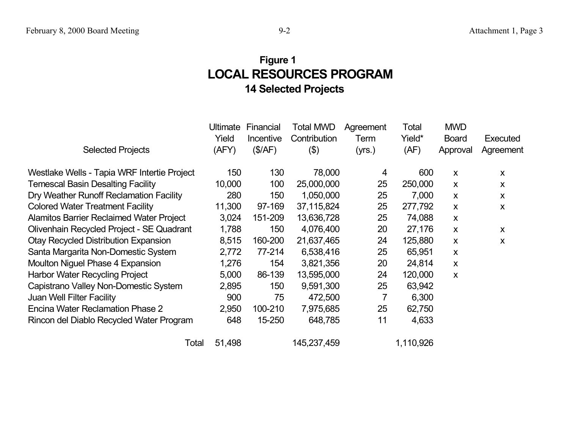# **LOCAL RESOURCES PROGRAM 14 Selected Projects Fi gure 1**

|                                                 | <b>Ultimate</b> | Financial | <b>Total MWD</b> | Agreement | Total     | <b>MWD</b>       |           |
|-------------------------------------------------|-----------------|-----------|------------------|-----------|-----------|------------------|-----------|
|                                                 | Yield           | Incentive | Contribution     | Term      | Yield*    | <b>Board</b>     | Executed  |
| <b>Selected Projects</b>                        | (AFY)           | (\$/AF)   | (3)              | (yrs.)    | (AF)      | Approval         | Agreement |
| Westlake Wells - Tapia WRF Intertie Project     | 150             | 130       | 78,000           | 4         | 600       | $\boldsymbol{X}$ | X         |
| <b>Temescal Basin Desalting Facility</b>        | 10,000          | 100       | 25,000,000       | 25        | 250,000   | $\boldsymbol{X}$ | X         |
| Dry Weather Runoff Reclamation Facility         | 280             | 150       | 1,050,000        | 25        | 7,000     | $\mathsf{x}$     | X         |
| <b>Colored Water Treatment Facility</b>         | 11,300          | 97-169    | 37,115,824       | 25        | 277,792   | $\boldsymbol{X}$ | X         |
| <b>Alamitos Barrier Reclaimed Water Project</b> | 3,024           | 151-209   | 13,636,728       | 25        | 74,088    | $\boldsymbol{X}$ |           |
| Olivenhain Recycled Project - SE Quadrant       | 1,788           | 150       | 4,076,400        | 20        | 27,176    | $\boldsymbol{X}$ | X         |
| <b>Otay Recycled Distribution Expansion</b>     | 8,515           | 160-200   | 21,637,465       | 24        | 125,880   | X                | X         |
| Santa Margarita Non-Domestic System             | 2,772           | 77-214    | 6,538,416        | 25        | 65,951    | X                |           |
| <b>Moulton Niguel Phase 4 Expansion</b>         | 1,276           | 154       | 3,821,356        | 20        | 24,814    | $\mathsf{X}$     |           |
| Harbor Water Recycling Project                  | 5,000           | 86-139    | 13,595,000       | 24        | 120,000   | $\boldsymbol{X}$ |           |
| Capistrano Valley Non-Domestic System           | 2,895           | 150       | 9,591,300        | 25        | 63,942    |                  |           |
| <b>Juan Well Filter Facility</b>                | 900             | 75        | 472,500          | 7         | 6,300     |                  |           |
| <b>Encina Water Reclamation Phase 2</b>         | 2,950           | 100-210   | 7,975,685        | 25        | 62,750    |                  |           |
| Rincon del Diablo Recycled Water Program        | 648             | 15-250    | 648,785          | 11        | 4,633     |                  |           |
| Total                                           | 51,498          |           | 145,237,459      |           | 1,110,926 |                  |           |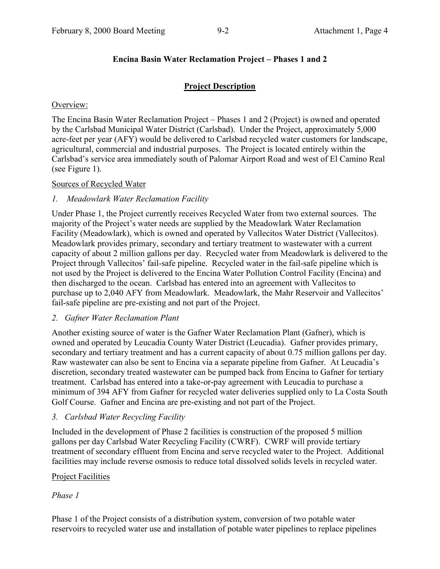### **Encina Basin Water Reclamation Project – Phases 1 and 2**

### **Project Description**

### Overview:

The Encina Basin Water Reclamation Project – Phases 1 and 2 (Project) is owned and operated by the Carlsbad Municipal Water District (Carlsbad). Under the Project, approximately 5,000 acre-feet per year (AFY) would be delivered to Carlsbad recycled water customers for landscape, agricultural, commercial and industrial purposes. The Project is located entirely within the Carlsbad's service area immediately south of Palomar Airport Road and west of El Camino Real (see Figure 1).

### Sources of Recycled Water

### *1. Meadowlark Water Reclamation Facility*

Under Phase 1, the Project currently receives Recycled Water from two external sources. The majority of the Project's water needs are supplied by the Meadowlark Water Reclamation Facility (Meadowlark), which is owned and operated by Vallecitos Water District (Vallecitos). Meadowlark provides primary, secondary and tertiary treatment to wastewater with a current capacity of about 2 million gallons per day. Recycled water from Meadowlark is delivered to the Project through Vallecitos' fail-safe pipeline. Recycled water in the fail-safe pipeline which is not used by the Project is delivered to the Encina Water Pollution Control Facility (Encina) and then discharged to the ocean. Carlsbad has entered into an agreement with Vallecitos to purchase up to 2,040 AFY from Meadowlark. Meadowlark, the Mahr Reservoir and Vallecitos' fail-safe pipeline are pre-existing and not part of the Project.

### *2. Gafner Water Reclamation Plant*

Another existing source of water is the Gafner Water Reclamation Plant (Gafner), which is owned and operated by Leucadia County Water District (Leucadia). Gafner provides primary, secondary and tertiary treatment and has a current capacity of about 0.75 million gallons per day. Raw wastewater can also be sent to Encina via a separate pipeline from Gafner. At Leucadia's discretion, secondary treated wastewater can be pumped back from Encina to Gafner for tertiary treatment. Carlsbad has entered into a take-or-pay agreement with Leucadia to purchase a minimum of 394 AFY from Gafner for recycled water deliveries supplied only to La Costa South Golf Course. Gafner and Encina are pre-existing and not part of the Project.

### *3. Carlsbad Water Recycling Facility*

Included in the development of Phase 2 facilities is construction of the proposed 5 million gallons per day Carlsbad Water Recycling Facility (CWRF). CWRF will provide tertiary treatment of secondary effluent from Encina and serve recycled water to the Project. Additional facilities may include reverse osmosis to reduce total dissolved solids levels in recycled water.

### Project Facilities

### *Phase 1*

Phase 1 of the Project consists of a distribution system, conversion of two potable water reservoirs to recycled water use and installation of potable water pipelines to replace pipelines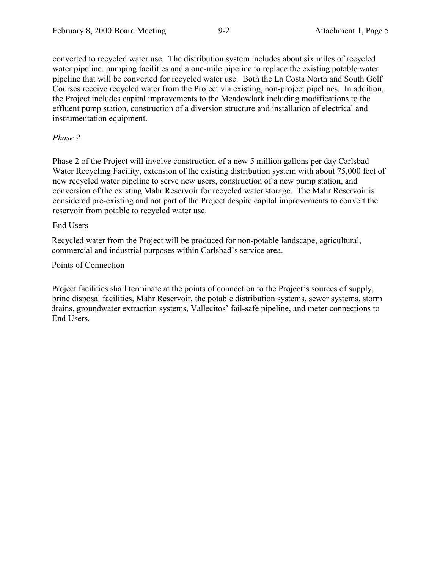converted to recycled water use. The distribution system includes about six miles of recycled water pipeline, pumping facilities and a one-mile pipeline to replace the existing potable water pipeline that will be converted for recycled water use. Both the La Costa North and South Golf Courses receive recycled water from the Project via existing, non-project pipelines. In addition, the Project includes capital improvements to the Meadowlark including modifications to the effluent pump station, construction of a diversion structure and installation of electrical and instrumentation equipment.

### *Phase 2*

Phase 2 of the Project will involve construction of a new 5 million gallons per day Carlsbad Water Recycling Facility, extension of the existing distribution system with about 75,000 feet of new recycled water pipeline to serve new users, construction of a new pump station, and conversion of the existing Mahr Reservoir for recycled water storage. The Mahr Reservoir is considered pre-existing and not part of the Project despite capital improvements to convert the reservoir from potable to recycled water use.

#### End Users

Recycled water from the Project will be produced for non-potable landscape, agricultural, commercial and industrial purposes within Carlsbad's service area.

#### Points of Connection

Project facilities shall terminate at the points of connection to the Project's sources of supply, brine disposal facilities, Mahr Reservoir, the potable distribution systems, sewer systems, storm drains, groundwater extraction systems, Vallecitos' fail-safe pipeline, and meter connections to End Users.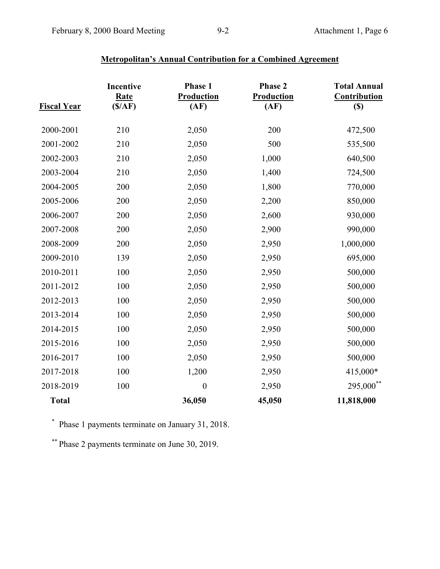| <u>Fiscal Year</u> | <b>Incentive</b><br><b>Rate</b><br>(S/AF) | Phase 1<br><b>Production</b><br>(AF) | Phase 2<br>Production<br>(AF) | <b>Total Annual</b><br><b>Contribution</b><br>$\left( \mathbb{S}\right)$ |
|--------------------|-------------------------------------------|--------------------------------------|-------------------------------|--------------------------------------------------------------------------|
| 2000-2001          | 210                                       | 2,050                                | 200                           | 472,500                                                                  |
| 2001-2002          | 210                                       | 2,050                                | 500                           | 535,500                                                                  |
| 2002-2003          | 210                                       | 2,050                                | 1,000                         | 640,500                                                                  |
| 2003-2004          | 210                                       | 2,050                                | 1,400                         | 724,500                                                                  |
| 2004-2005          | 200                                       | 2,050                                | 1,800                         | 770,000                                                                  |
| 2005-2006          | 200                                       | 2,050                                | 2,200                         | 850,000                                                                  |
| 2006-2007          | 200                                       | 2,050                                | 2,600                         | 930,000                                                                  |
| 2007-2008          | 200                                       | 2,050                                | 2,900                         | 990,000                                                                  |
| 2008-2009          | 200                                       | 2,050                                | 2,950                         | 1,000,000                                                                |
| 2009-2010          | 139                                       | 2,050                                | 2,950                         | 695,000                                                                  |
| 2010-2011          | 100                                       | 2,050                                | 2,950                         | 500,000                                                                  |
| 2011-2012          | 100                                       | 2,050                                | 2,950                         | 500,000                                                                  |
| 2012-2013          | 100                                       | 2,050                                | 2,950                         | 500,000                                                                  |
| 2013-2014          | 100                                       | 2,050                                | 2,950                         | 500,000                                                                  |
| 2014-2015          | 100                                       | 2,050                                | 2,950                         | 500,000                                                                  |
| 2015-2016          | 100                                       | 2,050                                | 2,950                         | 500,000                                                                  |
| 2016-2017          | 100                                       | 2,050                                | 2,950                         | 500,000                                                                  |
| 2017-2018          | 100                                       | 1,200                                | 2,950                         | 415,000*                                                                 |
| 2018-2019          | 100                                       | $\boldsymbol{0}$                     | 2,950                         | 295,000**                                                                |
| <b>Total</b>       |                                           | 36,050                               | 45,050                        | 11,818,000                                                               |

## **Metropolitan's Annual Contribution for a Combined Agreement**

\* Phase 1 payments terminate on January 31, 2018.

\*\* Phase 2 payments terminate on June 30, 2019.